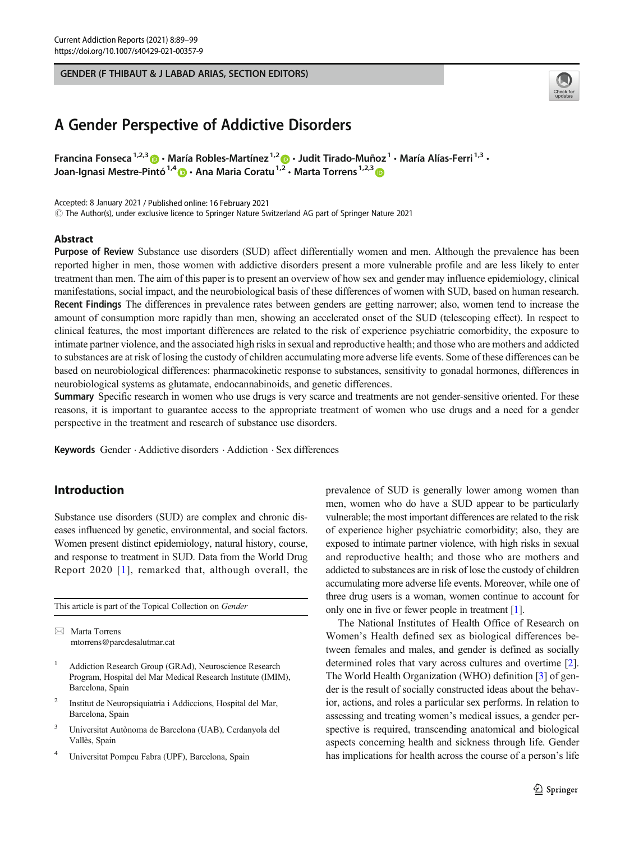### GENDER (F THIBAUT & J LABAD ARIAS, SECTION EDITORS)



# A Gender Perspective of Addictive Disorders

Francina Fonseca<sup>1,2,3</sup>  $\cdot$  María Robles-Martínez<sup>1,2</sup>  $\cdot$  Judit Tirado-Muñoz<sup>1</sup> · María Alías-Ferri<sup>1,3</sup> · Joan-Ignasi Mestre-Pintó<sup>1,4</sup> a · Ana Maria Coratu<sup>1,2</sup> · Marta Torrens<sup>1,2,3</sup> a

Accepted: 8 January 2021 / Published online: 16 February 2021

 $\copyright$  The Author(s), under exclusive licence to Springer Nature Switzerland AG part of Springer Nature 2021

### Abstract

Purpose of Review Substance use disorders (SUD) affect differentially women and men. Although the prevalence has been reported higher in men, those women with addictive disorders present a more vulnerable profile and are less likely to enter treatment than men. The aim of this paper is to present an overview of how sex and gender may influence epidemiology, clinical manifestations, social impact, and the neurobiological basis of these differences of women with SUD, based on human research. Recent Findings The differences in prevalence rates between genders are getting narrower; also, women tend to increase the amount of consumption more rapidly than men, showing an accelerated onset of the SUD (telescoping effect). In respect to clinical features, the most important differences are related to the risk of experience psychiatric comorbidity, the exposure to intimate partner violence, and the associated high risks in sexual and reproductive health; and those who are mothers and addicted to substances are at risk of losing the custody of children accumulating more adverse life events. Some of these differences can be based on neurobiological differences: pharmacokinetic response to substances, sensitivity to gonadal hormones, differences in neurobiological systems as glutamate, endocannabinoids, and genetic differences.

Summary Specific research in women who use drugs is very scarce and treatments are not gender-sensitive oriented. For these reasons, it is important to guarantee access to the appropriate treatment of women who use drugs and a need for a gender perspective in the treatment and research of substance use disorders.

Keywords Gender . Addictive disorders . Addiction . Sex differences

# Introduction

Substance use disorders (SUD) are complex and chronic diseases influenced by genetic, environmental, and social factors. Women present distinct epidemiology, natural history, course, and response to treatment in SUD. Data from the World Drug Report 2020 [[1\]](#page-6-0), remarked that, although overall, the

This article is part of the Topical Collection on Gender

 $\boxtimes$  Marta Torrens [mtorrens@parcdesalutmar.cat](mailto:mtorrens@parcdesalutmar.cat)

- <sup>1</sup> Addiction Research Group (GRAd), Neuroscience Research Program, Hospital del Mar Medical Research Institute (IMIM), Barcelona, Spain
- <sup>2</sup> Institut de Neuropsiquiatria i Addiccions, Hospital del Mar, Barcelona, Spain
- <sup>3</sup> Universitat Autònoma de Barcelona (UAB), Cerdanyola del Vallès, Spain
- <sup>4</sup> Universitat Pompeu Fabra (UPF), Barcelona, Spain

prevalence of SUD is generally lower among women than men, women who do have a SUD appear to be particularly vulnerable; the most important differences are related to the risk of experience higher psychiatric comorbidity; also, they are exposed to intimate partner violence, with high risks in sexual and reproductive health; and those who are mothers and addicted to substances are in risk of lose the custody of children accumulating more adverse life events. Moreover, while one of three drug users is a woman, women continue to account for only one in five or fewer people in treatment [\[1\]](#page-6-0).

The National Institutes of Health Office of Research on Women's Health defined sex as biological differences between females and males, and gender is defined as socially determined roles that vary across cultures and overtime [[2\]](#page-6-0). The World Health Organization (WHO) definition [\[3](#page-6-0)] of gender is the result of socially constructed ideas about the behavior, actions, and roles a particular sex performs. In relation to assessing and treating women's medical issues, a gender perspective is required, transcending anatomical and biological aspects concerning health and sickness through life. Gender has implications for health across the course of a person's life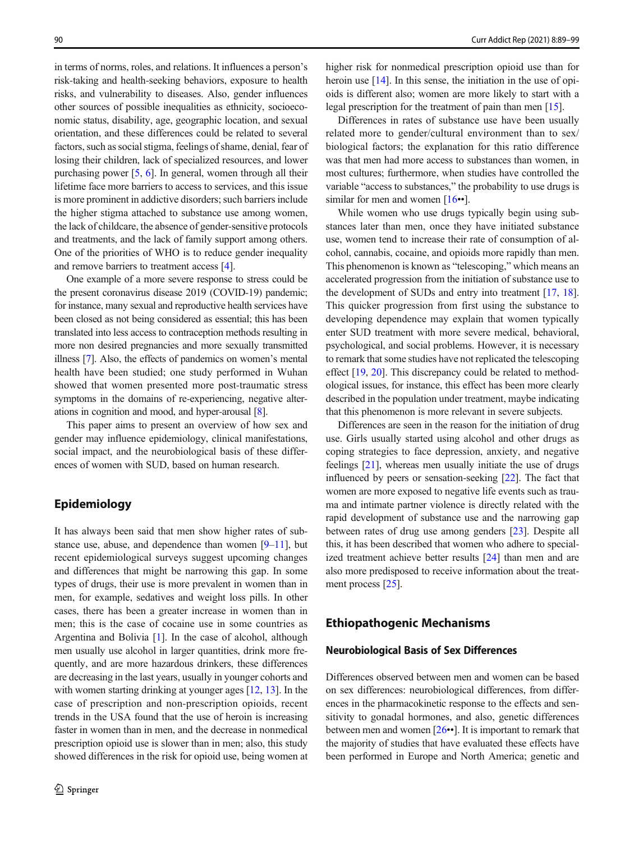in terms of norms, roles, and relations. It influences a person's risk-taking and health-seeking behaviors, exposure to health risks, and vulnerability to diseases. Also, gender influences other sources of possible inequalities as ethnicity, socioeconomic status, disability, age, geographic location, and sexual orientation, and these differences could be related to several factors, such as social stigma, feelings of shame, denial, fear of losing their children, lack of specialized resources, and lower purchasing power [[5,](#page-7-0) [6\]](#page-7-0). In general, women through all their lifetime face more barriers to access to services, and this issue is more prominent in addictive disorders; such barriers include the higher stigma attached to substance use among women, the lack of childcare, the absence of gender-sensitive protocols and treatments, and the lack of family support among others. One of the priorities of WHO is to reduce gender inequality and remove barriers to treatment access [[4\]](#page-6-0).

One example of a more severe response to stress could be the present coronavirus disease 2019 (COVID-19) pandemic; for instance, many sexual and reproductive health services have been closed as not being considered as essential; this has been translated into less access to contraception methods resulting in more non desired pregnancies and more sexually transmitted illness [[7](#page-7-0)]. Also, the effects of pandemics on women's mental health have been studied; one study performed in Wuhan showed that women presented more post-traumatic stress symptoms in the domains of re-experiencing, negative alterations in cognition and mood, and hyper-arousal [[8](#page-7-0)].

This paper aims to present an overview of how sex and gender may influence epidemiology, clinical manifestations, social impact, and the neurobiological basis of these differences of women with SUD, based on human research.

# Epidemiology

It has always been said that men show higher rates of substance use, abuse, and dependence than women  $[9-11]$  $[9-11]$  $[9-11]$ , but recent epidemiological surveys suggest upcoming changes and differences that might be narrowing this gap. In some types of drugs, their use is more prevalent in women than in men, for example, sedatives and weight loss pills. In other cases, there has been a greater increase in women than in men; this is the case of cocaine use in some countries as Argentina and Bolivia [[1\]](#page-6-0). In the case of alcohol, although men usually use alcohol in larger quantities, drink more frequently, and are more hazardous drinkers, these differences are decreasing in the last years, usually in younger cohorts and with women starting drinking at younger ages [\[12](#page-7-0), [13\]](#page-7-0). In the case of prescription and non-prescription opioids, recent trends in the USA found that the use of heroin is increasing faster in women than in men, and the decrease in nonmedical prescription opioid use is slower than in men; also, this study showed differences in the risk for opioid use, being women at higher risk for nonmedical prescription opioid use than for heroin use [[14](#page-7-0)]. In this sense, the initiation in the use of opioids is different also; women are more likely to start with a legal prescription for the treatment of pain than men [\[15\]](#page-7-0).

Differences in rates of substance use have been usually related more to gender/cultural environment than to sex/ biological factors; the explanation for this ratio difference was that men had more access to substances than women, in most cultures; furthermore, when studies have controlled the variable "access to substances," the probability to use drugs is similar for men and women  $[16\bullet]$  $[16\bullet]$ .

While women who use drugs typically begin using substances later than men, once they have initiated substance use, women tend to increase their rate of consumption of alcohol, cannabis, cocaine, and opioids more rapidly than men. This phenomenon is known as "telescoping," which means an accelerated progression from the initiation of substance use to the development of SUDs and entry into treatment [\[17](#page-7-0), [18\]](#page-7-0). This quicker progression from first using the substance to developing dependence may explain that women typically enter SUD treatment with more severe medical, behavioral, psychological, and social problems. However, it is necessary to remark that some studies have not replicated the telescoping effect [[19,](#page-7-0) [20\]](#page-7-0). This discrepancy could be related to methodological issues, for instance, this effect has been more clearly described in the population under treatment, maybe indicating that this phenomenon is more relevant in severe subjects.

Differences are seen in the reason for the initiation of drug use. Girls usually started using alcohol and other drugs as coping strategies to face depression, anxiety, and negative feelings [\[21](#page-7-0)], whereas men usually initiate the use of drugs influenced by peers or sensation-seeking [\[22](#page-7-0)]. The fact that women are more exposed to negative life events such as trauma and intimate partner violence is directly related with the rapid development of substance use and the narrowing gap between rates of drug use among genders [\[23\]](#page-7-0). Despite all this, it has been described that women who adhere to specialized treatment achieve better results [\[24\]](#page-7-0) than men and are also more predisposed to receive information about the treat-ment process [\[25\]](#page-7-0).

### Ethiopathogenic Mechanisms

### Neurobiological Basis of Sex Differences

Differences observed between men and women can be based on sex differences: neurobiological differences, from differences in the pharmacokinetic response to the effects and sensitivity to gonadal hormones, and also, genetic differences between men and women [\[26](#page-7-0)••]. It is important to remark that the majority of studies that have evaluated these effects have been performed in Europe and North America; genetic and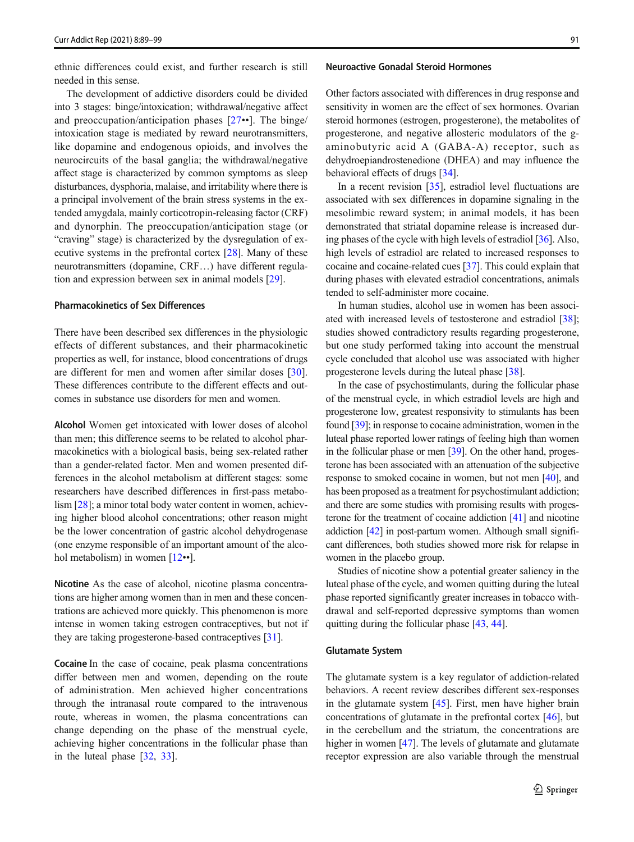ethnic differences could exist, and further research is still needed in this sense.

The development of addictive disorders could be divided into 3 stages: binge/intoxication; withdrawal/negative affect and preoccupation/anticipation phases [[27](#page-7-0)••]. The binge/ intoxication stage is mediated by reward neurotransmitters, like dopamine and endogenous opioids, and involves the neurocircuits of the basal ganglia; the withdrawal/negative affect stage is characterized by common symptoms as sleep disturbances, dysphoria, malaise, and irritability where there is a principal involvement of the brain stress systems in the extended amygdala, mainly corticotropin-releasing factor (CRF) and dynorphin. The preoccupation/anticipation stage (or "craving" stage) is characterized by the dysregulation of executive systems in the prefrontal cortex [\[28](#page-7-0)]. Many of these neurotransmitters (dopamine, CRF…) have different regulation and expression between sex in animal models [[29\]](#page-7-0).

### Pharmacokinetics of Sex Differences

There have been described sex differences in the physiologic effects of different substances, and their pharmacokinetic properties as well, for instance, blood concentrations of drugs are different for men and women after similar doses [\[30](#page-7-0)]. These differences contribute to the different effects and outcomes in substance use disorders for men and women.

Alcohol Women get intoxicated with lower doses of alcohol than men; this difference seems to be related to alcohol pharmacokinetics with a biological basis, being sex-related rather than a gender-related factor. Men and women presented differences in the alcohol metabolism at different stages: some researchers have described differences in first-pass metabolism [[28\]](#page-7-0); a minor total body water content in women, achieving higher blood alcohol concentrations; other reason might be the lower concentration of gastric alcohol dehydrogenase (one enzyme responsible of an important amount of the alco-hol metabolism) in women [[12](#page-7-0)••].

Nicotine As the case of alcohol, nicotine plasma concentrations are higher among women than in men and these concentrations are achieved more quickly. This phenomenon is more intense in women taking estrogen contraceptives, but not if they are taking progesterone-based contraceptives [[31\]](#page-7-0).

Cocaine In the case of cocaine, peak plasma concentrations differ between men and women, depending on the route of administration. Men achieved higher concentrations through the intranasal route compared to the intravenous route, whereas in women, the plasma concentrations can change depending on the phase of the menstrual cycle, achieving higher concentrations in the follicular phase than in the luteal phase [[32](#page-7-0), [33](#page-7-0)].

#### Neuroactive Gonadal Steroid Hormones

Other factors associated with differences in drug response and sensitivity in women are the effect of sex hormones. Ovarian steroid hormones (estrogen, progesterone), the metabolites of progesterone, and negative allosteric modulators of the gaminobutyric acid A (GABA-A) receptor, such as dehydroepiandrostenedione (DHEA) and may influence the behavioral effects of drugs [[34](#page-7-0)].

In a recent revision [\[35](#page-7-0)], estradiol level fluctuations are associated with sex differences in dopamine signaling in the mesolimbic reward system; in animal models, it has been demonstrated that striatal dopamine release is increased during phases of the cycle with high levels of estradiol [\[36\]](#page-7-0). Also, high levels of estradiol are related to increased responses to cocaine and cocaine-related cues [\[37\]](#page-7-0). This could explain that during phases with elevated estradiol concentrations, animals tended to self-administer more cocaine.

In human studies, alcohol use in women has been associated with increased levels of testosterone and estradiol [[38](#page-8-0)]; studies showed contradictory results regarding progesterone, but one study performed taking into account the menstrual cycle concluded that alcohol use was associated with higher progesterone levels during the luteal phase [\[38\]](#page-8-0).

In the case of psychostimulants, during the follicular phase of the menstrual cycle, in which estradiol levels are high and progesterone low, greatest responsivity to stimulants has been found [\[39\]](#page-8-0); in response to cocaine administration, women in the luteal phase reported lower ratings of feeling high than women in the follicular phase or men [\[39\]](#page-8-0). On the other hand, progesterone has been associated with an attenuation of the subjective response to smoked cocaine in women, but not men [[40](#page-8-0)], and has been proposed as a treatment for psychostimulant addiction; and there are some studies with promising results with progesterone for the treatment of cocaine addiction [[41](#page-8-0)] and nicotine addiction [\[42\]](#page-8-0) in post-partum women. Although small significant differences, both studies showed more risk for relapse in women in the placebo group.

Studies of nicotine show a potential greater saliency in the luteal phase of the cycle, and women quitting during the luteal phase reported significantly greater increases in tobacco withdrawal and self-reported depressive symptoms than women quitting during the follicular phase [[43,](#page-8-0) [44](#page-8-0)].

#### Glutamate System

The glutamate system is a key regulator of addiction-related behaviors. A recent review describes different sex-responses in the glutamate system [\[45](#page-8-0)]. First, men have higher brain concentrations of glutamate in the prefrontal cortex [\[46](#page-8-0)], but in the cerebellum and the striatum, the concentrations are higher in women [[47\]](#page-8-0). The levels of glutamate and glutamate receptor expression are also variable through the menstrual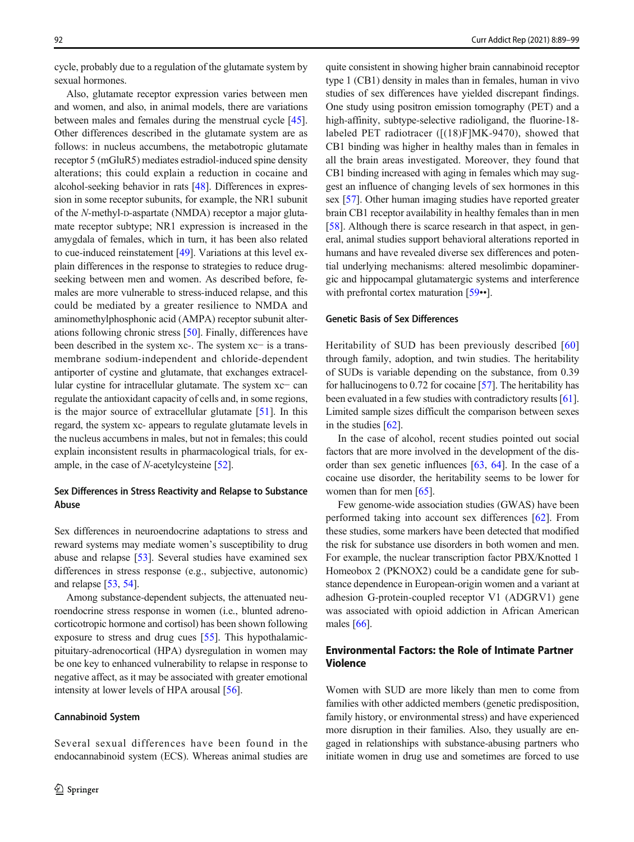cycle, probably due to a regulation of the glutamate system by sexual hormones.

Also, glutamate receptor expression varies between men and women, and also, in animal models, there are variations between males and females during the menstrual cycle [[45\]](#page-8-0). Other differences described in the glutamate system are as follows: in nucleus accumbens, the metabotropic glutamate receptor 5 (mGluR5) mediates estradiol-induced spine density alterations; this could explain a reduction in cocaine and alcohol-seeking behavior in rats [\[48](#page-8-0)]. Differences in expression in some receptor subunits, for example, the NR1 subunit of the N-methyl-D-aspartate (NMDA) receptor a major glutamate receptor subtype; NR1 expression is increased in the amygdala of females, which in turn, it has been also related to cue-induced reinstatement [[49](#page-8-0)]. Variations at this level explain differences in the response to strategies to reduce drugseeking between men and women. As described before, females are more vulnerable to stress-induced relapse, and this could be mediated by a greater resilience to NMDA and aminomethylphosphonic acid (AMPA) receptor subunit alterations following chronic stress [\[50](#page-8-0)]. Finally, differences have been described in the system xc-. The system xc− is a transmembrane sodium-independent and chloride-dependent antiporter of cystine and glutamate, that exchanges extracellular cystine for intracellular glutamate. The system xc− can regulate the antioxidant capacity of cells and, in some regions, is the major source of extracellular glutamate [[51\]](#page-8-0). In this regard, the system xc- appears to regulate glutamate levels in the nucleus accumbens in males, but not in females; this could explain inconsistent results in pharmacological trials, for example, in the case of  $N$ -acetylcysteine [\[52](#page-8-0)].

### Sex Differences in Stress Reactivity and Relapse to Substance Abuse

Sex differences in neuroendocrine adaptations to stress and reward systems may mediate women's susceptibility to drug abuse and relapse [\[53](#page-8-0)]. Several studies have examined sex differences in stress response (e.g., subjective, autonomic) and relapse [[53,](#page-8-0) [54](#page-8-0)].

Among substance-dependent subjects, the attenuated neuroendocrine stress response in women (i.e., blunted adrenocorticotropic hormone and cortisol) has been shown following exposure to stress and drug cues [[55\]](#page-8-0). This hypothalamicpituitary-adrenocortical (HPA) dysregulation in women may be one key to enhanced vulnerability to relapse in response to negative affect, as it may be associated with greater emotional intensity at lower levels of HPA arousal [[56](#page-8-0)].

### Cannabinoid System

quite consistent in showing higher brain cannabinoid receptor type 1 (CB1) density in males than in females, human in vivo studies of sex differences have yielded discrepant findings. One study using positron emission tomography (PET) and a high-affinity, subtype-selective radioligand, the fluorine-18 labeled PET radiotracer ([(18)F]MK-9470), showed that CB1 binding was higher in healthy males than in females in all the brain areas investigated. Moreover, they found that CB1 binding increased with aging in females which may suggest an influence of changing levels of sex hormones in this sex [\[57\]](#page-8-0). Other human imaging studies have reported greater brain CB1 receptor availability in healthy females than in men [\[58](#page-8-0)]. Although there is scarce research in that aspect, in general, animal studies support behavioral alterations reported in humans and have revealed diverse sex differences and potential underlying mechanisms: altered mesolimbic dopaminergic and hippocampal glutamatergic systems and interference with prefrontal cortex maturation [[59](#page-8-0)••].

### Genetic Basis of Sex Differences

Heritability of SUD has been previously described [[60](#page-8-0)] through family, adoption, and twin studies. The heritability of SUDs is variable depending on the substance, from 0.39 for hallucinogens to 0.72 for cocaine [\[57](#page-8-0)]. The heritability has been evaluated in a few studies with contradictory results [[61\]](#page-8-0). Limited sample sizes difficult the comparison between sexes in the studies [\[62](#page-8-0)].

In the case of alcohol, recent studies pointed out social factors that are more involved in the development of the disorder than sex genetic influences [\[63](#page-8-0), [64](#page-8-0)]. In the case of a cocaine use disorder, the heritability seems to be lower for women than for men [\[65](#page-8-0)].

Few genome-wide association studies (GWAS) have been performed taking into account sex differences [[62](#page-8-0)]. From these studies, some markers have been detected that modified the risk for substance use disorders in both women and men. For example, the nuclear transcription factor PBX/Knotted 1 Homeobox 2 (PKNOX2) could be a candidate gene for substance dependence in European-origin women and a variant at adhesion G-protein-coupled receptor V1 (ADGRV1) gene was associated with opioid addiction in African American males [\[66](#page-8-0)].

## Environmental Factors: the Role of Intimate Partner Violence

Women with SUD are more likely than men to come from families with other addicted members (genetic predisposition, family history, or environmental stress) and have experienced more disruption in their families. Also, they usually are engaged in relationships with substance-abusing partners who initiate women in drug use and sometimes are forced to use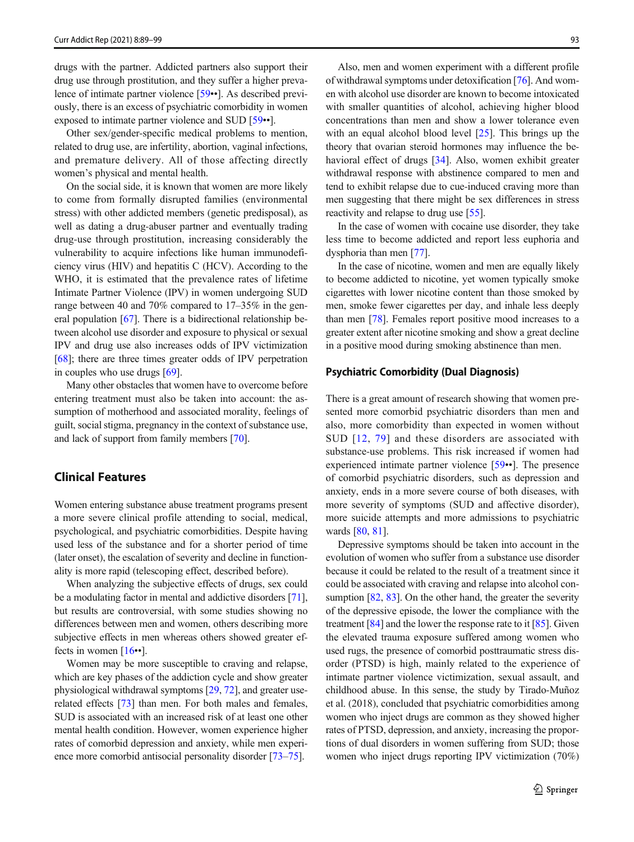drugs with the partner. Addicted partners also support their drug use through prostitution, and they suffer a higher prevalence of intimate partner violence [[59](#page-8-0)••]. As described previously, there is an excess of psychiatric comorbidity in women exposed to intimate partner violence and SUD [\[59](#page-8-0)••].

Other sex/gender-specific medical problems to mention, related to drug use, are infertility, abortion, vaginal infections, and premature delivery. All of those affecting directly women's physical and mental health.

On the social side, it is known that women are more likely to come from formally disrupted families (environmental stress) with other addicted members (genetic predisposal), as well as dating a drug-abuser partner and eventually trading drug-use through prostitution, increasing considerably the vulnerability to acquire infections like human immunodeficiency virus (HIV) and hepatitis C (HCV). According to the WHO, it is estimated that the prevalence rates of lifetime Intimate Partner Violence (IPV) in women undergoing SUD range between 40 and 70% compared to 17–35% in the general population [\[67\]](#page-8-0). There is a bidirectional relationship between alcohol use disorder and exposure to physical or sexual IPV and drug use also increases odds of IPV victimization [\[68\]](#page-8-0); there are three times greater odds of IPV perpetration in couples who use drugs [\[69\]](#page-9-0).

Many other obstacles that women have to overcome before entering treatment must also be taken into account: the assumption of motherhood and associated morality, feelings of guilt, social stigma, pregnancy in the context of substance use, and lack of support from family members [\[70](#page-9-0)].

# Clinical Features

Women entering substance abuse treatment programs present a more severe clinical profile attending to social, medical, psychological, and psychiatric comorbidities. Despite having used less of the substance and for a shorter period of time (later onset), the escalation of severity and decline in functionality is more rapid (telescoping effect, described before).

When analyzing the subjective effects of drugs, sex could be a modulating factor in mental and addictive disorders [[71\]](#page-9-0), but results are controversial, with some studies showing no differences between men and women, others describing more subjective effects in men whereas others showed greater effects in women  $[16\cdot]$  $[16\cdot]$ .

Women may be more susceptible to craving and relapse, which are key phases of the addiction cycle and show greater physiological withdrawal symptoms [\[29,](#page-7-0) [72](#page-9-0)], and greater userelated effects [[73](#page-9-0)] than men. For both males and females, SUD is associated with an increased risk of at least one other mental health condition. However, women experience higher rates of comorbid depression and anxiety, while men experience more comorbid antisocial personality disorder [\[73](#page-9-0)–[75\]](#page-9-0).

Also, men and women experiment with a different profile of withdrawal symptoms under detoxification [[76](#page-9-0)]. And women with alcohol use disorder are known to become intoxicated with smaller quantities of alcohol, achieving higher blood concentrations than men and show a lower tolerance even with an equal alcohol blood level [[25\]](#page-7-0). This brings up the theory that ovarian steroid hormones may influence the behavioral effect of drugs [[34\]](#page-7-0). Also, women exhibit greater withdrawal response with abstinence compared to men and tend to exhibit relapse due to cue-induced craving more than men suggesting that there might be sex differences in stress reactivity and relapse to drug use [\[55\]](#page-8-0).

In the case of women with cocaine use disorder, they take less time to become addicted and report less euphoria and dysphoria than men [\[77\]](#page-9-0).

In the case of nicotine, women and men are equally likely to become addicted to nicotine, yet women typically smoke cigarettes with lower nicotine content than those smoked by men, smoke fewer cigarettes per day, and inhale less deeply than men [[78](#page-9-0)]. Females report positive mood increases to a greater extent after nicotine smoking and show a great decline in a positive mood during smoking abstinence than men.

### Psychiatric Comorbidity (Dual Diagnosis)

There is a great amount of research showing that women presented more comorbid psychiatric disorders than men and also, more comorbidity than expected in women without SUD [[12](#page-7-0), [79](#page-9-0)] and these disorders are associated with substance-use problems. This risk increased if women had experienced intimate partner violence [[59](#page-8-0)••]. The presence of comorbid psychiatric disorders, such as depression and anxiety, ends in a more severe course of both diseases, with more severity of symptoms (SUD and affective disorder), more suicide attempts and more admissions to psychiatric wards [\[80,](#page-9-0) [81\]](#page-9-0).

Depressive symptoms should be taken into account in the evolution of women who suffer from a substance use disorder because it could be related to the result of a treatment since it could be associated with craving and relapse into alcohol con-sumption [\[82,](#page-9-0) [83\]](#page-9-0). On the other hand, the greater the severity of the depressive episode, the lower the compliance with the treatment  $[84]$  $[84]$  $[84]$  and the lower the response rate to it  $[85]$ . Given the elevated trauma exposure suffered among women who used rugs, the presence of comorbid posttraumatic stress disorder (PTSD) is high, mainly related to the experience of intimate partner violence victimization, sexual assault, and childhood abuse. In this sense, the study by Tirado-Muñoz et al. (2018), concluded that psychiatric comorbidities among women who inject drugs are common as they showed higher rates of PTSD, depression, and anxiety, increasing the proportions of dual disorders in women suffering from SUD; those women who inject drugs reporting IPV victimization (70%)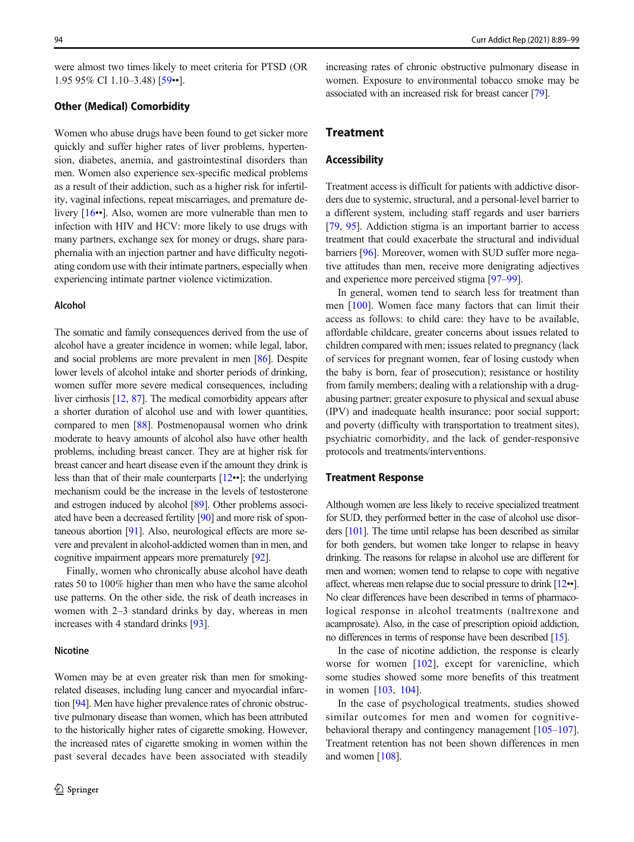were almost two times likely to meet criteria for PTSD (OR 1.95 95% CI 1.10–3.48) [[59](#page-8-0)••].

### Other (Medical) Comorbidity

Women who abuse drugs have been found to get sicker more quickly and suffer higher rates of liver problems, hypertension, diabetes, anemia, and gastrointestinal disorders than men. Women also experience sex-specific medical problems as a result of their addiction, such as a higher risk for infertility, vaginal infections, repeat miscarriages, and premature delivery [[16](#page-7-0)••]. Also, women are more vulnerable than men to infection with HIV and HCV: more likely to use drugs with many partners, exchange sex for money or drugs, share paraphernalia with an injection partner and have difficulty negotiating condom use with their intimate partners, especially when experiencing intimate partner violence victimization.

### Alcohol

The somatic and family consequences derived from the use of alcohol have a greater incidence in women; while legal, labor, and social problems are more prevalent in men [[86](#page-9-0)]. Despite lower levels of alcohol intake and shorter periods of drinking, women suffer more severe medical consequences, including liver cirrhosis [[12](#page-7-0), [87](#page-9-0)]. The medical comorbidity appears after a shorter duration of alcohol use and with lower quantities, compared to men [[88](#page-9-0)]. Postmenopausal women who drink moderate to heavy amounts of alcohol also have other health problems, including breast cancer. They are at higher risk for breast cancer and heart disease even if the amount they drink is less than that of their male counterparts [\[12](#page-7-0)••]; the underlying mechanism could be the increase in the levels of testosterone and estrogen induced by alcohol [\[89\]](#page-9-0). Other problems associated have been a decreased fertility [\[90](#page-9-0)] and more risk of spontaneous abortion [\[91](#page-9-0)]. Also, neurological effects are more severe and prevalent in alcohol-addicted women than in men, and cognitive impairment appears more prematurely [[92](#page-9-0)].

Finally, women who chronically abuse alcohol have death rates 50 to 100% higher than men who have the same alcohol use patterns. On the other side, the risk of death increases in women with 2–3 standard drinks by day, whereas in men increases with 4 standard drinks [[93](#page-9-0)].

### Nicotine

Women may be at even greater risk than men for smokingrelated diseases, including lung cancer and myocardial infarction [\[94\]](#page-9-0). Men have higher prevalence rates of chronic obstructive pulmonary disease than women, which has been attributed to the historically higher rates of cigarette smoking. However, the increased rates of cigarette smoking in women within the past several decades have been associated with steadily

increasing rates of chronic obstructive pulmonary disease in women. Exposure to environmental tobacco smoke may be associated with an increased risk for breast cancer [\[79\]](#page-9-0).

### Treatment

### Accessibility

Treatment access is difficult for patients with addictive disorders due to systemic, structural, and a personal-level barrier to a different system, including staff regards and user barriers [\[79](#page-9-0), [95\]](#page-9-0). Addiction stigma is an important barrier to access treatment that could exacerbate the structural and individual barriers [\[96\]](#page-9-0). Moreover, women with SUD suffer more negative attitudes than men, receive more denigrating adjectives and experience more perceived stigma [[97](#page-9-0)–[99](#page-9-0)].

In general, women tend to search less for treatment than men [\[100](#page-9-0)]. Women face many factors that can limit their access as follows: to child care: they have to be available, affordable childcare, greater concerns about issues related to children compared with men; issues related to pregnancy (lack of services for pregnant women, fear of losing custody when the baby is born, fear of prosecution); resistance or hostility from family members; dealing with a relationship with a drugabusing partner; greater exposure to physical and sexual abuse (IPV) and inadequate health insurance; poor social support; and poverty (difficulty with transportation to treatment sites), psychiatric comorbidity, and the lack of gender-responsive protocols and treatments/interventions.

### Treatment Response

Although women are less likely to receive specialized treatment for SUD, they performed better in the case of alcohol use disorders [\[101](#page-9-0)]. The time until relapse has been described as similar for both genders, but women take longer to relapse in heavy drinking. The reasons for relapse in alcohol use are different for men and women; women tend to relapse to cope with negative affect, whereas men relapse due to social pressure to drink [\[12](#page-7-0)••]. No clear differences have been described in terms of pharmacological response in alcohol treatments (naltrexone and acamprosate). Also, in the case of prescription opioid addiction, no differences in terms of response have been described [[15\]](#page-7-0).

In the case of nicotine addiction, the response is clearly worse for women [\[102\]](#page-9-0), except for varenicline, which some studies showed some more benefits of this treatment in women [\[103](#page-10-0), [104\]](#page-10-0).

In the case of psychological treatments, studies showed similar outcomes for men and women for cognitivebehavioral therapy and contingency management [\[105](#page-10-0)–[107\]](#page-10-0). Treatment retention has not been shown differences in men and women [\[108](#page-10-0)].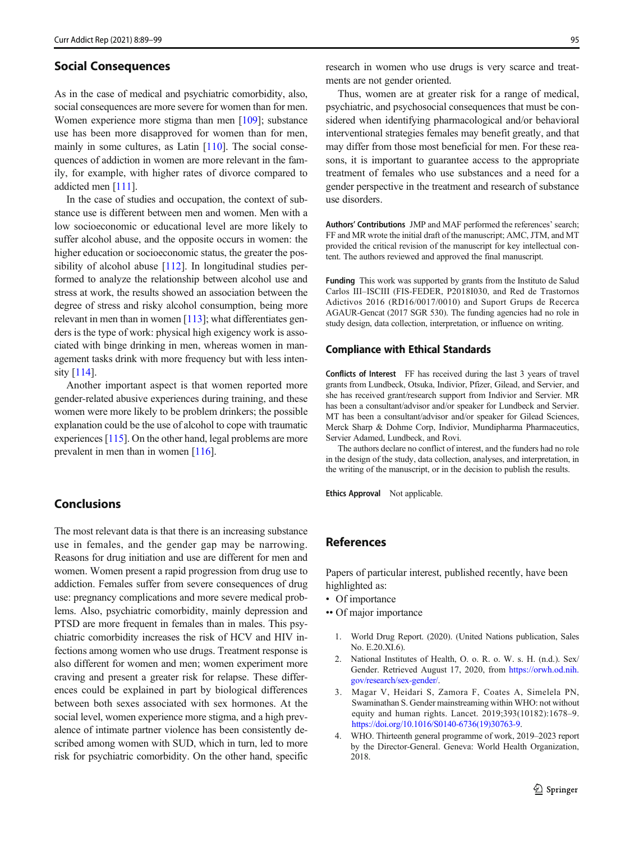### <span id="page-6-0"></span>Social Consequences

As in the case of medical and psychiatric comorbidity, also, social consequences are more severe for women than for men. Women experience more stigma than men [\[109](#page-10-0)]; substance use has been more disapproved for women than for men, mainly in some cultures, as Latin [\[110\]](#page-10-0). The social consequences of addiction in women are more relevant in the family, for example, with higher rates of divorce compared to addicted men [\[111\]](#page-10-0).

In the case of studies and occupation, the context of substance use is different between men and women. Men with a low socioeconomic or educational level are more likely to suffer alcohol abuse, and the opposite occurs in women: the higher education or socioeconomic status, the greater the pos-sibility of alcohol abuse [\[112](#page-10-0)]. In longitudinal studies performed to analyze the relationship between alcohol use and stress at work, the results showed an association between the degree of stress and risky alcohol consumption, being more relevant in men than in women [[113](#page-10-0)]; what differentiates genders is the type of work: physical high exigency work is associated with binge drinking in men, whereas women in management tasks drink with more frequency but with less intensity [[114](#page-10-0)].

Another important aspect is that women reported more gender-related abusive experiences during training, and these women were more likely to be problem drinkers; the possible explanation could be the use of alcohol to cope with traumatic experiences [[115](#page-10-0)]. On the other hand, legal problems are more prevalent in men than in women [\[116\]](#page-10-0).

# Conclusions

The most relevant data is that there is an increasing substance use in females, and the gender gap may be narrowing. Reasons for drug initiation and use are different for men and women. Women present a rapid progression from drug use to addiction. Females suffer from severe consequences of drug use: pregnancy complications and more severe medical problems. Also, psychiatric comorbidity, mainly depression and PTSD are more frequent in females than in males. This psychiatric comorbidity increases the risk of HCV and HIV infections among women who use drugs. Treatment response is also different for women and men; women experiment more craving and present a greater risk for relapse. These differences could be explained in part by biological differences between both sexes associated with sex hormones. At the social level, women experience more stigma, and a high prevalence of intimate partner violence has been consistently described among women with SUD, which in turn, led to more risk for psychiatric comorbidity. On the other hand, specific

research in women who use drugs is very scarce and treatments are not gender oriented.

Thus, women are at greater risk for a range of medical, psychiatric, and psychosocial consequences that must be considered when identifying pharmacological and/or behavioral interventional strategies females may benefit greatly, and that may differ from those most beneficial for men. For these reasons, it is important to guarantee access to the appropriate treatment of females who use substances and a need for a gender perspective in the treatment and research of substance use disorders.

Authors' Contributions JMP and MAF performed the references' search; FF and MR wrote the initial draft of the manuscript; AMC, JTM, and MT provided the critical revision of the manuscript for key intellectual content. The authors reviewed and approved the final manuscript.

Funding This work was supported by grants from the Instituto de Salud Carlos III–ISCIII (FIS-FEDER, P2018I030, and Red de Trastornos Adictivos 2016 (RD16/0017/0010) and Suport Grups de Recerca AGAUR-Gencat (2017 SGR 530). The funding agencies had no role in study design, data collection, interpretation, or influence on writing.

### Compliance with Ethical Standards

Conflicts of Interest FF has received during the last 3 years of travel grants from Lundbeck, Otsuka, Indivior, Pfizer, Gilead, and Servier, and she has received grant/research support from Indivior and Servier. MR has been a consultant/advisor and/or speaker for Lundbeck and Servier. MT has been a consultant/advisor and/or speaker for Gilead Sciences, Merck Sharp & Dohme Corp, Indivior, Mundipharma Pharmaceutics, Servier Adamed, Lundbeck, and Rovi.

The authors declare no conflict of interest, and the funders had no role in the design of the study, data collection, analyses, and interpretation, in the writing of the manuscript, or in the decision to publish the results.

Ethics Approval Not applicable.

## References

Papers of particular interest, published recently, have been highlighted as:

- Of importance
- •• Of major importance
	- 1. World Drug Report. (2020). (United Nations publication, Sales No. E.20.XI.6).
	- 2. National Institutes of Health, O. o. R. o. W. s. H. (n.d.). Sex/ Gender. Retrieved August 17, 2020, from [https://orwh.od.nih.](https://orwh.od.nih.gov/research/sex-gender/) [gov/research/sex-gender/.](https://orwh.od.nih.gov/research/sex-gender/)
	- 3. Magar V, Heidari S, Zamora F, Coates A, Simelela PN, Swaminathan S. Gender mainstreaming within WHO: not without equity and human rights. Lancet. 2019;393(10182):1678–9. [https://doi.org/10.1016/S0140-6736\(19\)30763-9.](https://doi.org/10.1016/S0140-6736(19)30763-9)
	- 4. WHO. Thirteenth general programme of work, 2019–2023 report by the Director-General. Geneva: World Health Organization, 2018.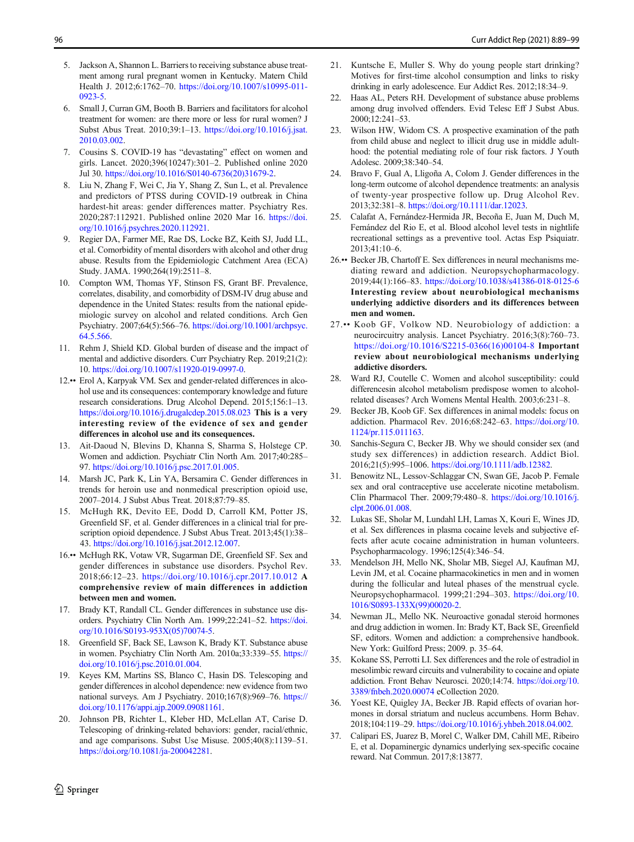- <span id="page-7-0"></span>5. Jackson A, Shannon L. Barriers to receiving substance abuse treatment among rural pregnant women in Kentucky. Matern Child Health J. 2012;6:1762–70. [https://doi.org/10.1007/s10995-011-](https://doi.org/10.1007/s10995-011-0923-5) [0923-5.](https://doi.org/10.1007/s10995-011-0923-5)
- 6. Small J, Curran GM, Booth B. Barriers and facilitators for alcohol treatment for women: are there more or less for rural women? J Subst Abus Treat. 2010;39:1–13. [https://doi.org/10.1016/j.jsat.](https://doi.org/10.1016/j.jsat.2010.03.002) [2010.03.002.](https://doi.org/10.1016/j.jsat.2010.03.002)
- 7. Cousins S. COVID-19 has "devastating" effect on women and girls. Lancet. 2020;396(10247):301–2. Published online 2020 Jul 30. [https://doi.org/10.1016/S0140-6736\(20\)31679-2](https://doi.org/10.1016/S0140-6736(20)31679-2).
- 8. Liu N, Zhang F, Wei C, Jia Y, Shang Z, Sun L, et al. Prevalence and predictors of PTSS during COVID-19 outbreak in China hardest-hit areas: gender differences matter. Psychiatry Res. 2020;287:112921. Published online 2020 Mar 16. [https://doi.](https://doi.org/10.1016/j.psychres.2020.112921) [org/10.1016/j.psychres.2020.112921.](https://doi.org/10.1016/j.psychres.2020.112921)
- 9. Regier DA, Farmer ME, Rae DS, Locke BZ, Keith SJ, Judd LL, et al. Comorbidity of mental disorders with alcohol and other drug abuse. Results from the Epidemiologic Catchment Area (ECA) Study. JAMA. 1990;264(19):2511–8.
- 10. Compton WM, Thomas YF, Stinson FS, Grant BF. Prevalence, correlates, disability, and comorbidity of DSM-IV drug abuse and dependence in the United States: results from the national epidemiologic survey on alcohol and related conditions. Arch Gen Psychiatry. 2007;64(5):566–76. [https://doi.org/10.1001/archpsyc.](https://doi.org/10.1001/archpsyc.64.5.566) [64.5.566](https://doi.org/10.1001/archpsyc.64.5.566).
- 11. Rehm J, Shield KD. Global burden of disease and the impact of mental and addictive disorders. Curr Psychiatry Rep. 2019;21(2): 10. [https://doi.org/10.1007/s11920-019-0997-0.](https://doi.org/10.1007/s11920-019-0997-0)
- 12.•• Erol A, Karpyak VM. Sex and gender-related differences in alcohol use and its consequences: contemporary knowledge and future research considerations. Drug Alcohol Depend. 2015;156:1–13. <https://doi.org/10.1016/j.drugalcdep.2015.08.023> This is a very interesting review of the evidence of sex and gender differences in alcohol use and its consequences.
- 13. Ait-Daoud N, Blevins D, Khanna S, Sharma S, Holstege CP. Women and addiction. Psychiatr Clin North Am. 2017;40:285– 97. [https://doi.org/10.1016/j.psc.2017.01.005.](https://doi.org/10.1016/j.psc.2017.01.005)
- 14. Marsh JC, Park K, Lin YA, Bersamira C. Gender differences in trends for heroin use and nonmedical prescription opioid use, 2007–2014. J Subst Abus Treat. 2018;87:79–85.
- 15. McHugh RK, Devito EE, Dodd D, Carroll KM, Potter JS, Greenfield SF, et al. Gender differences in a clinical trial for prescription opioid dependence. J Subst Abus Treat. 2013;45(1):38– 43. <https://doi.org/10.1016/j.jsat.2012.12.007>.
- 16.•• McHugh RK, Votaw VR, Sugarman DE, Greenfield SF. Sex and gender differences in substance use disorders. Psychol Rev. 2018;66:12–23. <https://doi.org/10.1016/j.cpr.2017.10.012> A comprehensive review of main differences in addiction between men and women.
- 17. Brady KT, Randall CL. Gender differences in substance use disorders. Psychiatry Clin North Am. 1999;22:241–52. [https://doi.](https://doi.org/10.1016/S0193-953X(05)70074-5) [org/10.1016/S0193-953X\(05\)70074-5.](https://doi.org/10.1016/S0193-953X(05)70074-5)
- 18. Greenfield SF, Back SE, Lawson K, Brady KT. Substance abuse in women. Psychiatry Clin North Am. 2010a;33:339–55. [https://](https://doi.org/10.1016/j.psc.2010.01.004) [doi.org/10.1016/j.psc.2010.01.004](https://doi.org/10.1016/j.psc.2010.01.004).
- 19. Keyes KM, Martins SS, Blanco C, Hasin DS. Telescoping and gender differences in alcohol dependence: new evidence from two national surveys. Am J Psychiatry. 2010;167(8):969–76. [https://](https://doi.org/10.1176/appi.ajp.2009.09081161) [doi.org/10.1176/appi.ajp.2009.09081161.](https://doi.org/10.1176/appi.ajp.2009.09081161)
- 20. Johnson PB, Richter L, Kleber HD, McLellan AT, Carise D. Telescoping of drinking-related behaviors: gender, racial/ethnic, and age comparisons. Subst Use Misuse. 2005;40(8):1139–51. <https://doi.org/10.1081/ja-200042281>.
- 21. Kuntsche E, Muller S. Why do young people start drinking? Motives for first-time alcohol consumption and links to risky drinking in early adolescence. Eur Addict Res. 2012;18:34–9.
- 22. Haas AL, Peters RH. Development of substance abuse problems among drug involved offenders. Evid Telesc Eff J Subst Abus. 2000;12:241–53.
- 23. Wilson HW, Widom CS. A prospective examination of the path from child abuse and neglect to illicit drug use in middle adulthood: the potential mediating role of four risk factors. J Youth Adolesc. 2009;38:340–54.
- Bravo F, Gual A, Lligoña A, Colom J. Gender differences in the long-term outcome of alcohol dependence treatments: an analysis of twenty-year prospective follow up. Drug Alcohol Rev. 2013;32:381–8. [https://doi.org/10.1111/dar.12023.](https://doi.org/10.1111/dar.12023)
- 25. Calafat A, Fernández-Hermida JR, Becoña E, Juan M, Duch M, Fernández del Rio E, et al. Blood alcohol level tests in nightlife recreational settings as a preventive tool. Actas Esp Psiquiatr. 2013;41:10–6.
- 26.•• Becker JB, Chartoff E. Sex differences in neural mechanisms mediating reward and addiction. Neuropsychopharmacology. 2019;44(1):166–83. <https://doi.org/10.1038/s41386-018-0125-6> Interesting review about neurobiological mechanisms underlying addictive disorders and its differences between men and women.
- 27.•• Koob GF, Volkow ND. Neurobiology of addiction: a neurocircuitry analysis. Lancet Psychiatry. 2016;3(8):760–73. [https://doi.org/10.1016/S2215-0366\(16\)00104-8](https://doi.org/10.1016/S2215-0366(16)00104-8) Important review about neurobiological mechanisms underlying addictive disorders.
- Ward RJ, Coutelle C. Women and alcohol susceptibility: could differencesin alcohol metabolism predispose women to alcoholrelated diseases? Arch Womens Mental Health. 2003;6:231–8.
- 29. Becker JB, Koob GF. Sex differences in animal models: focus on addiction. Pharmacol Rev. 2016;68:242–63. [https://doi.org/10.](https://doi.org/10.1124/pr.115.011163) [1124/pr.115.011163](https://doi.org/10.1124/pr.115.011163).
- 30. Sanchis-Segura C, Becker JB. Why we should consider sex (and study sex differences) in addiction research. Addict Biol. 2016;21(5):995–1006. <https://doi.org/10.1111/adb.12382>.
- 31. Benowitz NL, Lessov-Schlaggar CN, Swan GE, Jacob P. Female sex and oral contraceptive use accelerate nicotine metabolism. Clin Pharmacol Ther. 2009;79:480–8. [https://doi.org/10.1016/j.](https://doi.org/10.1016/j.clpt.2006.01.008) [clpt.2006.01.008.](https://doi.org/10.1016/j.clpt.2006.01.008)
- 32. Lukas SE, Sholar M, Lundahl LH, Lamas X, Kouri E, Wines JD, et al. Sex differences in plasma cocaine levels and subjective effects after acute cocaine administration in human volunteers. Psychopharmacology. 1996;125(4):346–54.
- 33. Mendelson JH, Mello NK, Sholar MB, Siegel AJ, Kaufman MJ, Levin JM, et al. Cocaine pharmacokinetics in men and in women during the follicular and luteal phases of the menstrual cycle. Neuropsychopharmacol. 1999;21:294–303. [https://doi.org/10.](https://doi.org/10.1016/S0893-133X(99)00020-2) [1016/S0893-133X\(99\)00020-2](https://doi.org/10.1016/S0893-133X(99)00020-2).
- 34. Newman JL, Mello NK. Neuroactive gonadal steroid hormones and drug addiction in women. In: Brady KT, Back SE, Greenfield SF, editors. Women and addiction: a comprehensive handbook. New York: Guilford Press; 2009. p. 35–64.
- 35. Kokane SS, Perrotti LI. Sex differences and the role of estradiol in mesolimbic reward circuits and vulnerability to cocaine and opiate addiction. Front Behav Neurosci. 2020;14:74. [https://doi.org/10.](https://doi.org/10.3389/fnbeh.2020.00074) [3389/fnbeh.2020.00074](https://doi.org/10.3389/fnbeh.2020.00074) eCollection 2020.
- 36. Yoest KE, Quigley JA, Becker JB. Rapid effects of ovarian hormones in dorsal striatum and nucleus accumbens. Horm Behav. 2018;104:119–29. [https://doi.org/10.1016/j.yhbeh.2018.04.002.](https://doi.org/10.1016/j.yhbeh.2018.04.002)
- 37. Calipari ES, Juarez B, Morel C, Walker DM, Cahill ME, Ribeiro E, et al. Dopaminergic dynamics underlying sex-specific cocaine reward. Nat Commun. 2017;8:13877.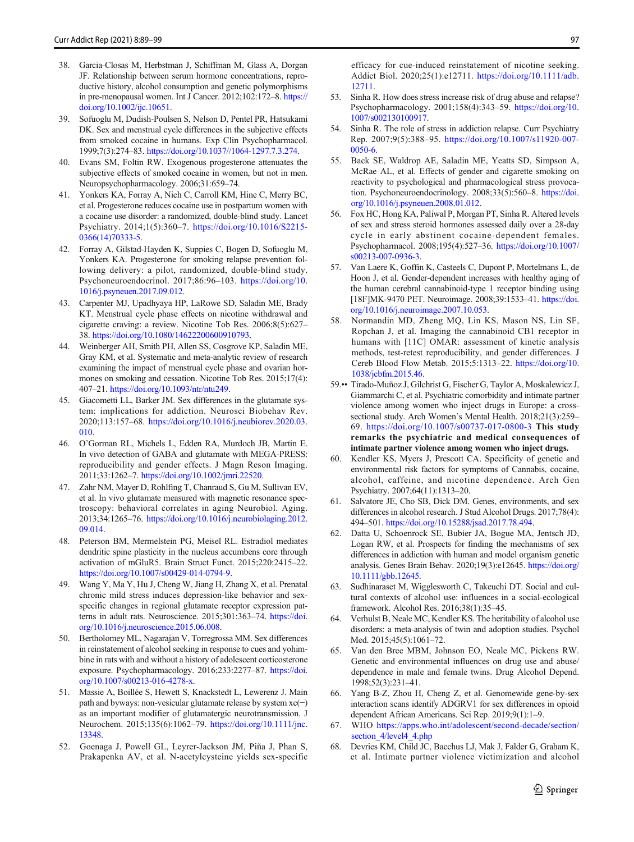- <span id="page-8-0"></span>38. Garcia-Closas M, Herbstman J, Schiffman M, Glass A, Dorgan JF. Relationship between serum hormone concentrations, reproductive history, alcohol consumption and genetic polymorphisms in pre-menopausal women. Int J Cancer. 2012;102:172–8. [https://](https://doi.org/10.1002/ijc.10651) [doi.org/10.1002/ijc.10651.](https://doi.org/10.1002/ijc.10651)
- 39. Sofuoglu M, Dudish-Poulsen S, Nelson D, Pentel PR, Hatsukami DK. Sex and menstrual cycle differences in the subjective effects from smoked cocaine in humans. Exp Clin Psychopharmacol. 1999;7(3):274–83. [https://doi.org/10.1037//1064-1297.7.3.274.](https://doi.org/10.1037//1064-1297.7.3.274)
- 40. Evans SM, Foltin RW. Exogenous progesterone attenuates the subjective effects of smoked cocaine in women, but not in men. Neuropsychopharmacology. 2006;31:659–74.
- 41. Yonkers KA, Forray A, Nich C, Carroll KM, Hine C, Merry BC, et al. Progesterone reduces cocaine use in postpartum women with a cocaine use disorder: a randomized, double-blind study. Lancet Psychiatry. 2014;1(5):360–7. [https://doi.org/10.1016/S2215-](https://doi.org/10.1016/S2215-0366(14)70333-5) [0366\(14\)70333-5.](https://doi.org/10.1016/S2215-0366(14)70333-5)
- 42. Forray A, Gilstad-Hayden K, Suppies C, Bogen D, Sofuoglu M, Yonkers KA. Progesterone for smoking relapse prevention following delivery: a pilot, randomized, double-blind study. Psychoneuroendocrinol. 2017;86:96–103. [https://doi.org/10.](https://doi.org/10.1016/j.psyneuen.2017.09.012) [1016/j.psyneuen.2017.09.012.](https://doi.org/10.1016/j.psyneuen.2017.09.012)
- 43. Carpenter MJ, Upadhyaya HP, LaRowe SD, Saladin ME, Brady KT. Menstrual cycle phase effects on nicotine withdrawal and cigarette craving: a review. Nicotine Tob Res. 2006;8(5):627– 38. <https://doi.org/10.1080/14622200600910793>.
- 44. Weinberger AH, Smith PH, Allen SS, Cosgrove KP, Saladin ME, Gray KM, et al. Systematic and meta-analytic review of research examining the impact of menstrual cycle phase and ovarian hormones on smoking and cessation. Nicotine Tob Res. 2015;17(4): 407–21. [https://doi.org/10.1093/ntr/ntu249.](https://doi.org/10.1093/ntr/ntu249)
- 45. Giacometti LL, Barker JM. Sex differences in the glutamate system: implications for addiction. Neurosci Biobehav Rev. 2020;113:157–68. [https://doi.org/10.1016/j.neubiorev.2020.03.](https://doi.org/10.1016/j.neubiorev.2020.03.010) [010.](https://doi.org/10.1016/j.neubiorev.2020.03.010)
- 46. O'Gorman RL, Michels L, Edden RA, Murdoch JB, Martin E. In vivo detection of GABA and glutamate with MEGA-PRESS: reproducibility and gender effects. J Magn Reson Imaging. 2011;33:1262–7. [https://doi.org/10.1002/jmri.22520.](https://doi.org/10.1002/jmri.22520)
- 47. Zahr NM, Mayer D, Rohlfing T, Chanraud S, Gu M, Sullivan EV, et al. In vivo glutamate measured with magnetic resonance spectroscopy: behavioral correlates in aging Neurobiol. Aging. 2013;34:1265–76. [https://doi.org/10.1016/j.neurobiolaging.2012.](https://doi.org/10.1016/j.neurobiolaging.2012.09.014) [09.014](https://doi.org/10.1016/j.neurobiolaging.2012.09.014).
- 48. Peterson BM, Mermelstein PG, Meisel RL. Estradiol mediates dendritic spine plasticity in the nucleus accumbens core through activation of mGluR5. Brain Struct Funct. 2015;220:2415–22. <https://doi.org/10.1007/s00429-014-0794-9>.
- 49. Wang Y, Ma Y, Hu J, Cheng W, Jiang H, Zhang X, et al. Prenatal chronic mild stress induces depression-like behavior and sexspecific changes in regional glutamate receptor expression patterns in adult rats. Neuroscience. 2015;301:363–74. [https://doi.](https://doi.org/10.1016/j.neuroscience.2015.06.008) [org/10.1016/j.neuroscience.2015.06.008.](https://doi.org/10.1016/j.neuroscience.2015.06.008)
- 50. Bertholomey ML, Nagarajan V, Torregrossa MM. Sex differences in reinstatement of alcohol seeking in response to cues and yohimbine in rats with and without a history of adolescent corticosterone exposure. Psychopharmacology. 2016;233:2277–87. [https://doi.](https://doi.org/10.1007/s00213-016-4278-x) [org/10.1007/s00213-016-4278-x](https://doi.org/10.1007/s00213-016-4278-x).
- 51. Massie A, Boillée S, Hewett S, Knackstedt L, Lewerenz J. Main path and byways: non-vesicular glutamate release by system xc(−) as an important modifier of glutamatergic neurotransmission. J Neurochem. 2015;135(6):1062–79. [https://doi.org/10.1111/jnc.](https://doi.org/10.1111/jnc.13348) [13348](https://doi.org/10.1111/jnc.13348).
- 52. Goenaga J, Powell GL, Leyrer-Jackson JM, Piña J, Phan S, Prakapenka AV, et al. N-acetylcysteine yields sex-specific

efficacy for cue-induced reinstatement of nicotine seeking. Addict Biol. 2020;25(1):e12711. [https://doi.org/10.1111/adb.](https://doi.org/10.1111/adb.12711) [12711.](https://doi.org/10.1111/adb.12711)

- 53. Sinha R. How does stress increase risk of drug abuse and relapse? Psychopharmacology. 2001;158(4):343–59. [https://doi.org/10.](https://doi.org/10.1007/s002130100917) [1007/s002130100917.](https://doi.org/10.1007/s002130100917)
- 54. Sinha R. The role of stress in addiction relapse. Curr Psychiatry Rep. 2007;9(5):388–95. [https://doi.org/10.1007/s11920-007-](https://doi.org/10.1007/s11920-007-0050-6) [0050-6.](https://doi.org/10.1007/s11920-007-0050-6)
- 55. Back SE, Waldrop AE, Saladin ME, Yeatts SD, Simpson A, McRae AL, et al. Effects of gender and cigarette smoking on reactivity to psychological and pharmacological stress provocation. Psychoneuroendocrinology. 2008;33(5):560–8. [https://doi.](https://doi.org/10.1016/j.psyneuen.2008.01.012) [org/10.1016/j.psyneuen.2008.01.012.](https://doi.org/10.1016/j.psyneuen.2008.01.012)
- 56. Fox HC, Hong KA, Paliwal P, Morgan PT, Sinha R. Altered levels of sex and stress steroid hormones assessed daily over a 28-day cycle in early abstinent cocaine-dependent females. Psychopharmacol. 2008;195(4):527–36. [https://doi.org/10.1007/](https://doi.org/10.1007/s00213-007-0936-3) [s00213-007-0936-3](https://doi.org/10.1007/s00213-007-0936-3).
- 57. Van Laere K, Goffin K, Casteels C, Dupont P, Mortelmans L, de Hoon J, et al. Gender-dependent increases with healthy aging of the human cerebral cannabinoid-type 1 receptor binding using [18F]MK-9470 PET. Neuroimage. 2008;39:1533–41. [https://doi.](https://doi.org/10.1016/j.neuroimage.2007.10.053) [org/10.1016/j.neuroimage.2007.10.053.](https://doi.org/10.1016/j.neuroimage.2007.10.053)
- 58. Normandin MD, Zheng MQ, Lin KS, Mason NS, Lin SF, Ropchan J, et al. Imaging the cannabinoid CB1 receptor in humans with [11C] OMAR: assessment of kinetic analysis methods, test-retest reproducibility, and gender differences. J Cereb Blood Flow Metab. 2015;5:1313–22. [https://doi.org/10.](https://doi.org/10.1038/jcbfm.2015.46) [1038/jcbfm.2015.46](https://doi.org/10.1038/jcbfm.2015.46).
- 59.•• Tirado-Muñoz J, Gilchrist G, Fischer G, Taylor A, Moskalewicz J, Giammarchi C, et al. Psychiatric comorbidity and intimate partner violence among women who inject drugs in Europe: a crosssectional study. Arch Women's Mental Health. 2018;21(3):259– 69. <https://doi.org/10.1007/s00737-017-0800-3> This study remarks the psychiatric and medical consequences of intimate partner violence among women who inject drugs.
- 60. Kendler KS, Myers J, Prescott CA. Specificity of genetic and environmental risk factors for symptoms of Cannabis, cocaine, alcohol, caffeine, and nicotine dependence. Arch Gen Psychiatry. 2007;64(11):1313–20.
- 61. Salvatore JE, Cho SB, Dick DM. Genes, environments, and sex differences in alcohol research. J Stud Alcohol Drugs. 2017;78(4): 494–501. <https://doi.org/10.15288/jsad.2017.78.494>.
- 62. Datta U, Schoenrock SE, Bubier JA, Bogue MA, Jentsch JD, Logan RW, et al. Prospects for finding the mechanisms of sex differences in addiction with human and model organism genetic analysis. Genes Brain Behav. 2020;19(3):e12645. [https://doi.org/](https://doi.org/10.1111/gbb.12645) [10.1111/gbb.12645.](https://doi.org/10.1111/gbb.12645)
- 63. Sudhinaraset M, Wigglesworth C, Takeuchi DT. Social and cultural contexts of alcohol use: influences in a social-ecological framework. Alcohol Res. 2016;38(1):35–45.
- 64. Verhulst B, Neale MC, Kendler KS. The heritability of alcohol use disorders: a meta-analysis of twin and adoption studies. Psychol Med. 2015;45(5):1061–72.
- 65. Van den Bree MBM, Johnson EO, Neale MC, Pickens RW. Genetic and environmental influences on drug use and abuse/ dependence in male and female twins. Drug Alcohol Depend. 1998;52(3):231–41.
- 66. Yang B-Z, Zhou H, Cheng Z, et al. Genomewide gene-by-sex interaction scans identify ADGRV1 for sex differences in opioid dependent African Americans. Sci Rep. 2019;9(1):1–9.
- 67. WHO [https://apps.who.int/adolescent/second-decade/section/](https://apps.who.int/adolescent/second-decade/section/section_4/level4_4.php) section 4/level4 4.php
- 68. Devries KM, Child JC, Bacchus LJ, Mak J, Falder G, Graham K, et al. Intimate partner violence victimization and alcohol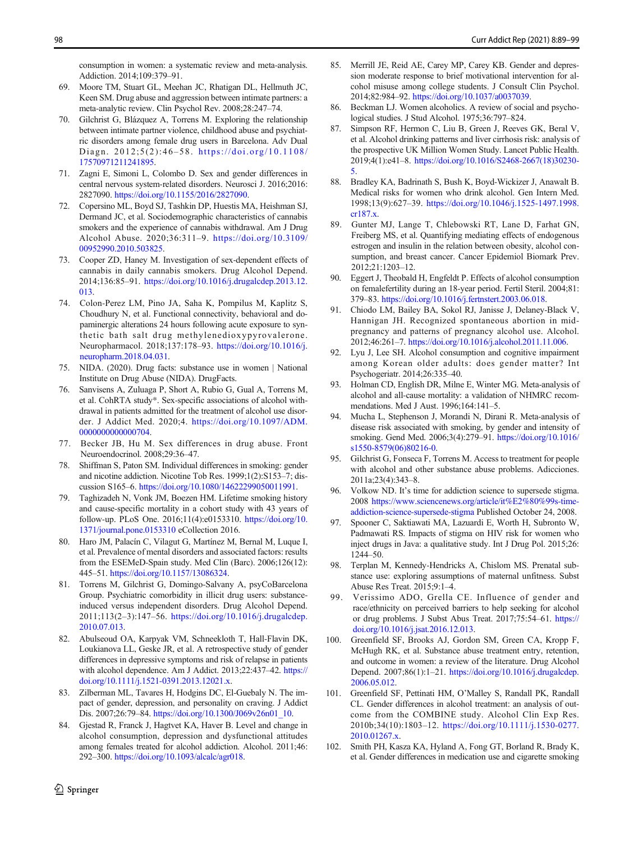<span id="page-9-0"></span>consumption in women: a systematic review and meta-analysis. Addiction. 2014;109:379–91.

- 69. Moore TM, Stuart GL, Meehan JC, Rhatigan DL, Hellmuth JC, Keen SM. Drug abuse and aggression between intimate partners: a meta-analytic review. Clin Psychol Rev. 2008;28:247–74.
- 70. Gilchrist G, Blázquez A, Torrens M. Exploring the relationship between intimate partner violence, childhood abuse and psychiatric disorders among female drug users in Barcelona. Adv Dual Diagn. 2012;5(2):46–58. [https://doi.org/10.1108/](https://doi.org/10.1108/17570971211241895) [17570971211241895.](https://doi.org/10.1108/17570971211241895)
- 71. Zagni E, Simoni L, Colombo D. Sex and gender differences in central nervous system-related disorders. Neurosci J. 2016;2016: 2827090. <https://doi.org/10.1155/2016/2827090>.
- 72. Copersino ML, Boyd SJ, Tashkin DP, Huestis MA, Heishman SJ, Dermand JC, et al. Sociodemographic characteristics of cannabis smokers and the experience of cannabis withdrawal. Am J Drug Alcohol Abuse. 2020;36:311–9. [https://doi.org/10.3109/](https://doi.org/10.3109/00952990.2010.503825) [00952990.2010.503825.](https://doi.org/10.3109/00952990.2010.503825)
- 73. Cooper ZD, Haney M. Investigation of sex-dependent effects of cannabis in daily cannabis smokers. Drug Alcohol Depend. 2014;136:85–91. [https://doi.org/10.1016/j.drugalcdep.2013.12.](https://doi.org/10.1016/j.drugalcdep.2013.12.013) [013.](https://doi.org/10.1016/j.drugalcdep.2013.12.013)
- 74. Colon-Perez LM, Pino JA, Saha K, Pompilus M, Kaplitz S, Choudhury N, et al. Functional connectivity, behavioral and dopaminergic alterations 24 hours following acute exposure to synthetic bath salt drug methylenedioxypyrovalerone. Neuropharmacol. 2018;137:178–93. [https://doi.org/10.1016/j.](https://doi.org/10.1016/j.neuropharm.2018.04.031) [neuropharm.2018.04.031.](https://doi.org/10.1016/j.neuropharm.2018.04.031)
- 75. NIDA. (2020). Drug facts: substance use in women | National Institute on Drug Abuse (NIDA). DrugFacts.
- 76. Sanvisens A, Zuluaga P, Short A, Rubio G, Gual A, Torrens M, et al. CohRTA study\*. Sex-specific associations of alcohol withdrawal in patients admitted for the treatment of alcohol use disorder. J Addict Med. 2020;4. [https://doi.org/10.1097/ADM.](https://doi.org/10.1097/ADM.0000000000000704) [0000000000000704.](https://doi.org/10.1097/ADM.0000000000000704)
- 77. Becker JB, Hu M. Sex differences in drug abuse. Front Neuroendocrinol. 2008;29:36–47.
- 78. Shiffman S, Paton SM. Individual differences in smoking: gender and nicotine addiction. Nicotine Tob Res. 1999;1(2):S153–7; discussion S165–6. <https://doi.org/10.1080/14622299050011991>.
- 79. Taghizadeh N, Vonk JM, Boezen HM. Lifetime smoking history and cause-specific mortality in a cohort study with 43 years of follow-up. PLoS One. 2016;11(4):e0153310. [https://doi.org/10.](https://doi.org/10.1371/journal.pone.0153310) [1371/journal.pone.0153310](https://doi.org/10.1371/journal.pone.0153310) eCollection 2016.
- 80. Haro JM, Palacín C, Vilagut G, Martínez M, Bernal M, Luque I, et al. Prevalence of mental disorders and associated factors: results from the ESEMeD-Spain study. Med Clin (Barc). 2006;126(12): 445–51. [https://doi.org/10.1157/13086324.](https://doi.org/10.1157/13086324)
- 81. Torrens M, Gilchrist G, Domingo-Salvany A, psyCoBarcelona Group. Psychiatric comorbidity in illicit drug users: substanceinduced versus independent disorders. Drug Alcohol Depend. 2011;113(2–3):147–56. [https://doi.org/10.1016/j.drugalcdep.](https://doi.org/10.1016/j.drugalcdep.2010.07.013) [2010.07.013.](https://doi.org/10.1016/j.drugalcdep.2010.07.013)
- 82. Abulseoud OA, Karpyak VM, Schneekloth T, Hall-Flavin DK, Loukianova LL, Geske JR, et al. A retrospective study of gender differences in depressive symptoms and risk of relapse in patients with alcohol dependence. Am J Addict. 2013;22:437–42. [https://](https://doi.org/10.1111/j.1521-0391.2013.12021.x) [doi.org/10.1111/j.1521-0391.2013.12021.x](https://doi.org/10.1111/j.1521-0391.2013.12021.x).
- 83. Zilberman ML, Tavares H, Hodgins DC, El-Guebaly N. The impact of gender, depression, and personality on craving. J Addict Dis. 2007;26:79–84. [https://doi.org/10.1300/J069v26n01\\_10.](https://doi.org/10.1300/J069v26n01_10)
- 84. Gjestad R, Franck J, Hagtvet KA, Haver B. Level and change in alcohol consumption, depression and dysfunctional attitudes among females treated for alcohol addiction. Alcohol. 2011;46: 292–300. <https://doi.org/10.1093/alcalc/agr018>.
- 85. Merrill JE, Reid AE, Carey MP, Carey KB. Gender and depression moderate response to brief motivational intervention for alcohol misuse among college students. J Consult Clin Psychol. 2014;82:984–92. <https://doi.org/10.1037/a0037039>.
- 86. Beckman LJ. Women alcoholics. A review of social and psychological studies. J Stud Alcohol. 1975;36:797–824.
- 87. Simpson RF, Hermon C, Liu B, Green J, Reeves GK, Beral V, et al. Alcohol drinking patterns and liver cirrhosis risk: analysis of the prospective UK Million Women Study. Lancet Public Health. 2019;4(1):e41–8. [https://doi.org/10.1016/S2468-2667\(18\)30230-](https://doi.org/10.1016/S2468-2667(18)30230-5) [5.](https://doi.org/10.1016/S2468-2667(18)30230-5)
- 88. Bradley KA, Badrinath S, Bush K, Boyd-Wickizer J, Anawalt B. Medical risks for women who drink alcohol. Gen Intern Med. 1998;13(9):627–39. [https://doi.org/10.1046/j.1525-1497.1998.](https://doi.org/10.1046/j.1525-1497.1998.cr187.x) [cr187.x](https://doi.org/10.1046/j.1525-1497.1998.cr187.x).
- 89. Gunter MJ, Lange T, Chlebowski RT, Lane D, Farhat GN, Freiberg MS, et al. Quantifying mediating effects of endogenous estrogen and insulin in the relation between obesity, alcohol consumption, and breast cancer. Cancer Epidemiol Biomark Prev. 2012;21:1203–12.
- 90. Eggert J, Theobald H, Engfeldt P. Effects of alcohol consumption on femalefertility during an 18-year period. Fertil Steril. 2004;81: 379–83. <https://doi.org/10.1016/j.fertnstert.2003.06.018>.
- 91. Chiodo LM, Bailey BA, Sokol RJ, Janisse J, Delaney-Black V, Hannigan JH. Recognized spontaneous abortion in midpregnancy and patterns of pregnancy alcohol use. Alcohol. 2012;46:261–7. <https://doi.org/10.1016/j.alcohol.2011.11.006>.
- 92. Lyu J, Lee SH. Alcohol consumption and cognitive impairment among Korean older adults: does gender matter? Int Psychogeriatr. 2014;26:335–40.
- 93. Holman CD, English DR, Milne E, Winter MG. Meta-analysis of alcohol and all-cause mortality: a validation of NHMRC recommendations. Med J Aust. 1996;164:141–5.
- 94. Mucha L, Stephenson J, Morandi N, Dirani R. Meta-analysis of disease risk associated with smoking, by gender and intensity of smoking. Gend Med. 2006;3(4):279–91. [https://doi.org/10.1016/](https://doi.org/10.1016/s1550-8579(06)80216-0) [s1550-8579\(06\)80216-0](https://doi.org/10.1016/s1550-8579(06)80216-0).
- 95. Gilchrist G, Fonseca F, Torrens M. Access to treatment for people with alcohol and other substance abuse problems. Adicciones. 2011a;23(4):343–8.
- 96. Volkow ND. It's time for addiction science to supersede stigma. 2008 [https://www.sciencenews.org/article/it%E2%80%99s-time](https://www.sciencenews.org/article/it%E2%80%99s-time-addiction-science-supersede-stigma)[addiction-science-supersede-stigma](https://www.sciencenews.org/article/it%E2%80%99s-time-addiction-science-supersede-stigma) Published October 24, 2008.
- 97. Spooner C, Saktiawati MA, Lazuardi E, Worth H, Subronto W, Padmawati RS. Impacts of stigma on HIV risk for women who inject drugs in Java: a qualitative study. Int J Drug Pol. 2015;26: 1244–50.
- 98. Terplan M, Kennedy-Hendricks A, Chislom MS. Prenatal substance use: exploring assumptions of maternal unfitness. Subst Abuse Res Treat. 2015;9:1–4.
- 99. Verissimo ADO, Grella CE. Influence of gender and race/ethnicity on perceived barriers to help seeking for alcohol or drug problems. J Subst Abus Treat. 2017;75:54–61. [https://](https://doi.org/10.1016/j.jsat.2016.12.013) [doi.org/10.1016/j.jsat.2016.12.013.](https://doi.org/10.1016/j.jsat.2016.12.013)
- 100. Greenfield SF, Brooks AJ, Gordon SM, Green CA, Kropp F, McHugh RK, et al. Substance abuse treatment entry, retention, and outcome in women: a review of the literature. Drug Alcohol Depend. 2007;86(1):1–21. [https://doi.org/10.1016/j.drugalcdep.](https://doi.org/10.1016/j.drugalcdep.2006.05.012) [2006.05.012.](https://doi.org/10.1016/j.drugalcdep.2006.05.012)
- 101. Greenfield SF, Pettinati HM, O'Malley S, Randall PK, Randall CL. Gender differences in alcohol treatment: an analysis of outcome from the COMBINE study. Alcohol Clin Exp Res. 2010b;34(10):1803–12. [https://doi.org/10.1111/j.1530-0277.](https://doi.org/10.1111/j.1530-0277.2010.01267.x) [2010.01267.x.](https://doi.org/10.1111/j.1530-0277.2010.01267.x)
- 102. Smith PH, Kasza KA, Hyland A, Fong GT, Borland R, Brady K, et al. Gender differences in medication use and cigarette smoking